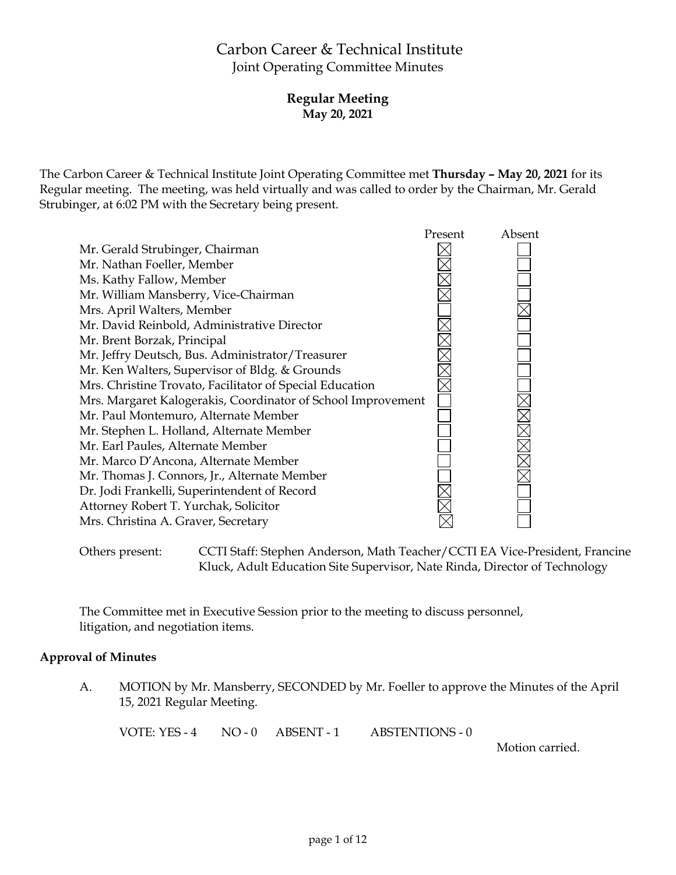# Carbon Career & Technical Institute Joint Operating Committee Minutes

# **Regular Meeting May 20, 2021**

The Carbon Career & Technical Institute Joint Operating Committee met **Thursday – May 20, 2021** for its Regular meeting. The meeting, was held virtually and was called to order by the Chairman, Mr. Gerald Strubinger, at 6:02 PM with the Secretary being present.



Others present: CCTI Staff: Stephen Anderson, Math Teacher/CCTI EA Vice-President, Francine Kluck, Adult Education Site Supervisor, Nate Rinda, Director of Technology

The Committee met in Executive Session prior to the meeting to discuss personnel, litigation, and negotiation items.

# **Approval of Minutes**

A. MOTION by Mr. Mansberry, SECONDED by Mr. Foeller to approve the Minutes of the April 15, 2021 Regular Meeting.

VOTE: YES - 4 NO - 0 ABSENT - 1 ABSTENTIONS - 0

Motion carried.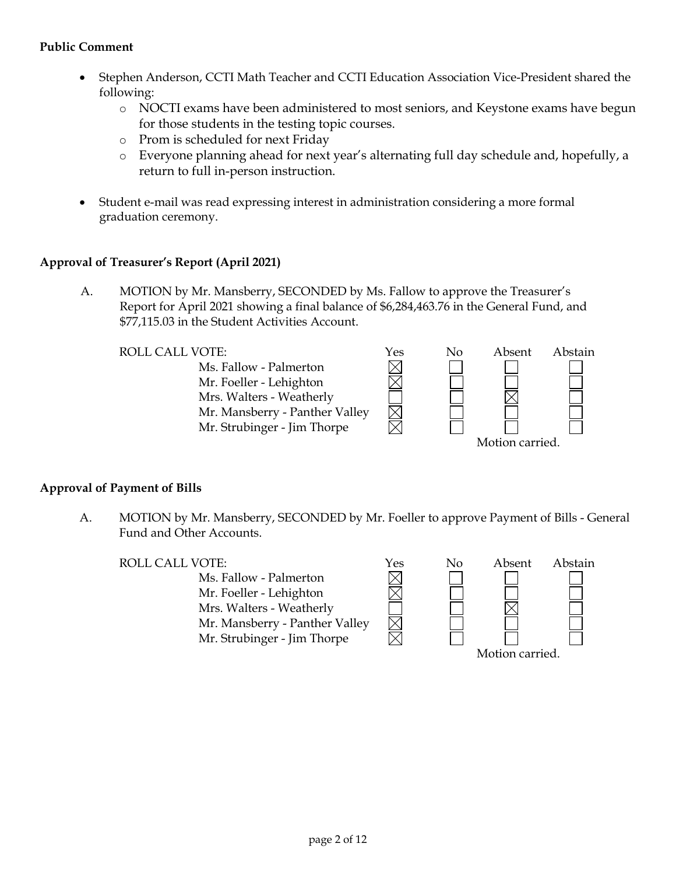# **Public Comment**

- Stephen Anderson, CCTI Math Teacher and CCTI Education Association Vice-President shared the following:
	- o NOCTI exams have been administered to most seniors, and Keystone exams have begun for those students in the testing topic courses.
	- o Prom is scheduled for next Friday
	- o Everyone planning ahead for next year's alternating full day schedule and, hopefully, a return to full in-person instruction.

 $\boxtimes$ 

• Student e-mail was read expressing interest in administration considering a more formal graduation ceremony.

# **Approval of Treasurer's Report (April 2021)**

A. MOTION by Mr. Mansberry, SECONDED by Ms. Fallow to approve the Treasurer's Report for April 2021 showing a final balance of \$6,284,463.76 in the General Fund, and \$77,115.03 in the Student Activities Account.

Ms. Fallow - Palmerton Mr. Foeller - Lehighton Mrs. Walters - Weatherly Mr. Mansberry - Panther Valley Mr. Strubinger - Jim Thorpe



# **Approval of Payment of Bills**

A. MOTION by Mr. Mansberry, SECONDED by Mr. Foeller to approve Payment of Bills - General Fund and Other Accounts.

ROLL CALL VOTE:  $Y$ es No Absent Abstain Ms. Fallow - Palmerton Mr. Foeller - Lehighton Mrs. Walters - Weatherly Mr. Mansberry - Panther Valley Mr. Strubinger - Jim Thorpe

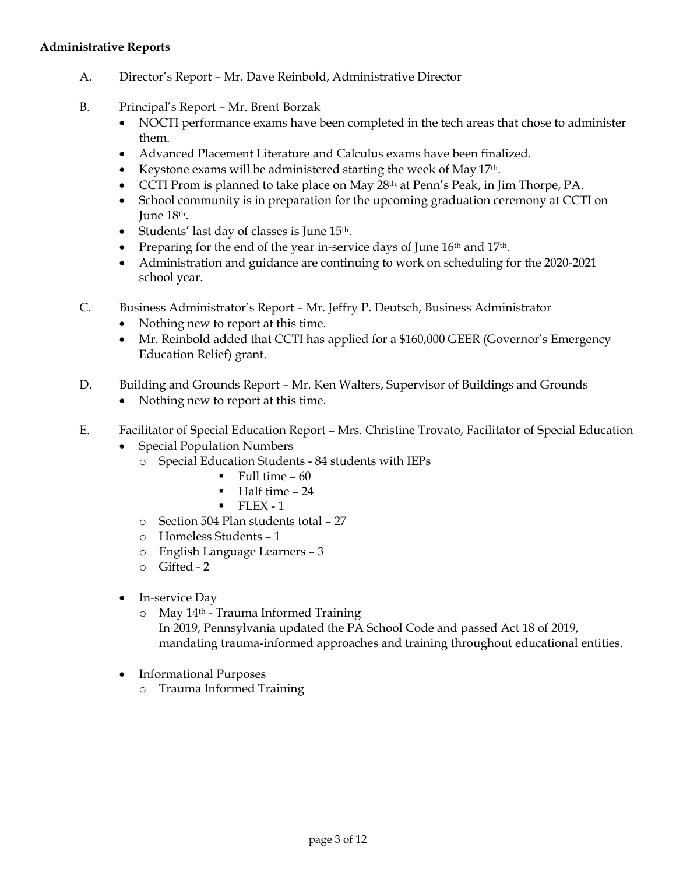#### **Administrative Reports**

- A. Director's Report Mr. Dave Reinbold, Administrative Director
- B. Principal's Report Mr. Brent Borzak
	- NOCTI performance exams have been completed in the tech areas that chose to administer them.
	- Advanced Placement Literature and Calculus exams have been finalized.
	- Keystone exams will be administered starting the week of May 17<sup>th</sup>.
	- CCTI Prom is planned to take place on May 28<sup>th,</sup> at Penn's Peak, in Jim Thorpe, PA.
	- School community is in preparation for the upcoming graduation ceremony at CCTI on June 18th.
	- Students' last day of classes is June 15th.
	- Preparing for the end of the year in-service days of June  $16<sup>th</sup>$  and  $17<sup>th</sup>$ .
	- Administration and guidance are continuing to work on scheduling for the 2020-2021 school year.
- C. Business Administrator's Report Mr. Jeffry P. Deutsch, Business Administrator
	- Nothing new to report at this time.
	- Mr. Reinbold added that CCTI has applied for a \$160,000 GEER (Governor's Emergency Education Relief) grant.
- D. Building and Grounds Report Mr. Ken Walters, Supervisor of Buildings and Grounds
	- Nothing new to report at this time.
- E. Facilitator of Special Education Report Mrs. Christine Trovato, Facilitator of Special Education
	- Special Population Numbers
		- o Special Education Students 84 students with IEPs
			- $\blacksquare$  Full time 60
			- Half time 24
			- $\blacksquare$  FLEX 1
		- o Section 504 Plan students total 27
		- o Homeless Students 1
		- o English Language Learners 3
		- o Gifted 2
	- In-service Day
		- o May 14th Trauma Informed Training
			- In 2019, Pennsylvania updated the PA School Code and passed Act 18 of 2019, mandating trauma-informed approaches and training throughout educational entities.
	- Informational Purposes
		- o Trauma Informed Training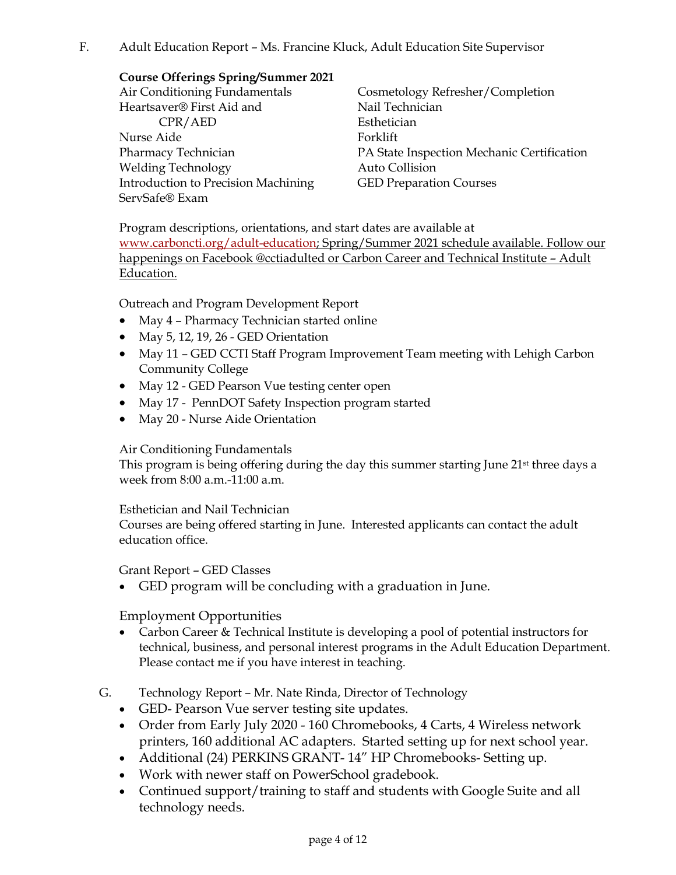F. Adult Education Report – Ms. Francine Kluck, Adult Education Site Supervisor

# **Course Offerings Spring/Summer 2021**

Air Conditioning Fundamentals Heartsaver® First Aid and CPR/AED Nurse Aide Pharmacy Technician Welding Technology Introduction to Precision Machining ServSafe® Exam

Cosmetology Refresher/Completion Nail Technician Esthetician Forklift PA State Inspection Mechanic Certification Auto Collision GED Preparation Courses

Program descriptions, orientations, and start dates are available at [www.carboncti.org/adult-education;](http://www.carboncti.org/adult-education) Spring/Summer 2021 schedule available. Follow our happenings on Facebook @cctiadulted or Carbon Career and Technical Institute – Adult Education.

Outreach and Program Development Report

- May 4 Pharmacy Technician started online
- May 5, 12, 19, 26 GED Orientation
- May 11 GED CCTI Staff Program Improvement Team meeting with Lehigh Carbon Community College
- May 12 GED Pearson Vue testing center open
- May 17 PennDOT Safety Inspection program started
- May 20 Nurse Aide Orientation

# Air Conditioning Fundamentals

This program is being offering during the day this summer starting June 21st three days a week from 8:00 a.m.-11:00 a.m.

# Esthetician and Nail Technician

Courses are being offered starting in June. Interested applicants can contact the adult education office.

# Grant Report – GED Classes

• GED program will be concluding with a graduation in June.

# Employment Opportunities

- Carbon Career & Technical Institute is developing a pool of potential instructors for technical, business, and personal interest programs in the Adult Education Department. Please contact me if you have interest in teaching.
- G. Technology Report Mr. Nate Rinda, Director of Technology
	- GED- Pearson Vue server testing site updates.
	- Order from Early July 2020 160 Chromebooks, 4 Carts, 4 Wireless network printers, 160 additional AC adapters. Started setting up for next school year.
	- Additional (24) PERKINS GRANT-14" HP Chromebooks-Setting up.
	- Work with newer staff on PowerSchool gradebook.
	- Continued support/training to staff and students with Google Suite and all technology needs.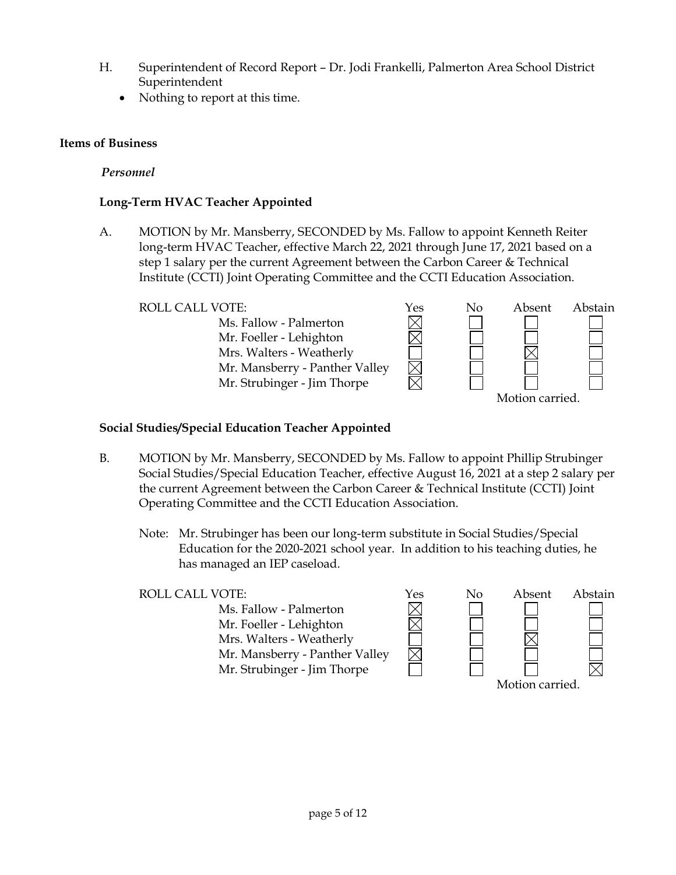- H. Superintendent of Record Report Dr. Jodi Frankelli, Palmerton Area School District Superintendent
	- Nothing to report at this time.

# **Items of Business**

*Personnel*

# **Long-Term HVAC Teacher Appointed**

A. MOTION by Mr. Mansberry, SECONDED by Ms. Fallow to appoint Kenneth Reiter long-term HVAC Teacher, effective March 22, 2021 through June 17, 2021 based on a step 1 salary per the current Agreement between the Carbon Career & Technical Institute (CCTI) Joint Operating Committee and the CCTI Education Association.

Ms. Fallow - Palmerton Mr. Foeller - Lehighton Mrs. Walters - Weatherly Mr. Mansberry - Panther Valley Mr. Strubinger - Jim Thorpe



# **Social Studies/Special Education Teacher Appointed**

- B. MOTION by Mr. Mansberry, SECONDED by Ms. Fallow to appoint Phillip Strubinger Social Studies/Special Education Teacher, effective August 16, 2021 at a step 2 salary per the current Agreement between the Carbon Career & Technical Institute (CCTI) Joint Operating Committee and the CCTI Education Association.
	- Note: Mr. Strubinger has been our long-term substitute in Social Studies/Special Education for the 2020-2021 school year. In addition to his teaching duties, he has managed an IEP caseload.

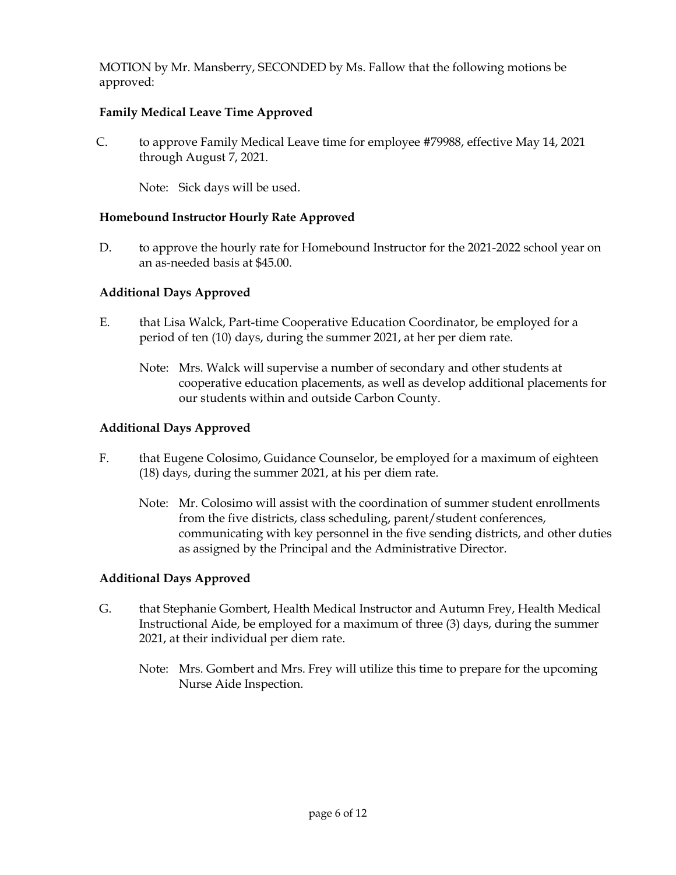MOTION by Mr. Mansberry, SECONDED by Ms. Fallow that the following motions be approved:

# **Family Medical Leave Time Approved**

C. to approve Family Medical Leave time for employee #79988, effective May 14, 2021 through August 7, 2021.

Note: Sick days will be used.

# **Homebound Instructor Hourly Rate Approved**

D. to approve the hourly rate for Homebound Instructor for the 2021-2022 school year on an as-needed basis at \$45.00.

# **Additional Days Approved**

- E. that Lisa Walck, Part-time Cooperative Education Coordinator, be employed for a period of ten (10) days, during the summer 2021, at her per diem rate.
	- Note: Mrs. Walck will supervise a number of secondary and other students at cooperative education placements, as well as develop additional placements for our students within and outside Carbon County.

# **Additional Days Approved**

- F. that Eugene Colosimo, Guidance Counselor, be employed for a maximum of eighteen (18) days, during the summer 2021, at his per diem rate.
	- Note: Mr. Colosimo will assist with the coordination of summer student enrollments from the five districts, class scheduling, parent/student conferences, communicating with key personnel in the five sending districts, and other duties as assigned by the Principal and the Administrative Director.

# **Additional Days Approved**

- G. that Stephanie Gombert, Health Medical Instructor and Autumn Frey, Health Medical Instructional Aide, be employed for a maximum of three (3) days, during the summer 2021, at their individual per diem rate.
	- Note: Mrs. Gombert and Mrs. Frey will utilize this time to prepare for the upcoming Nurse Aide Inspection.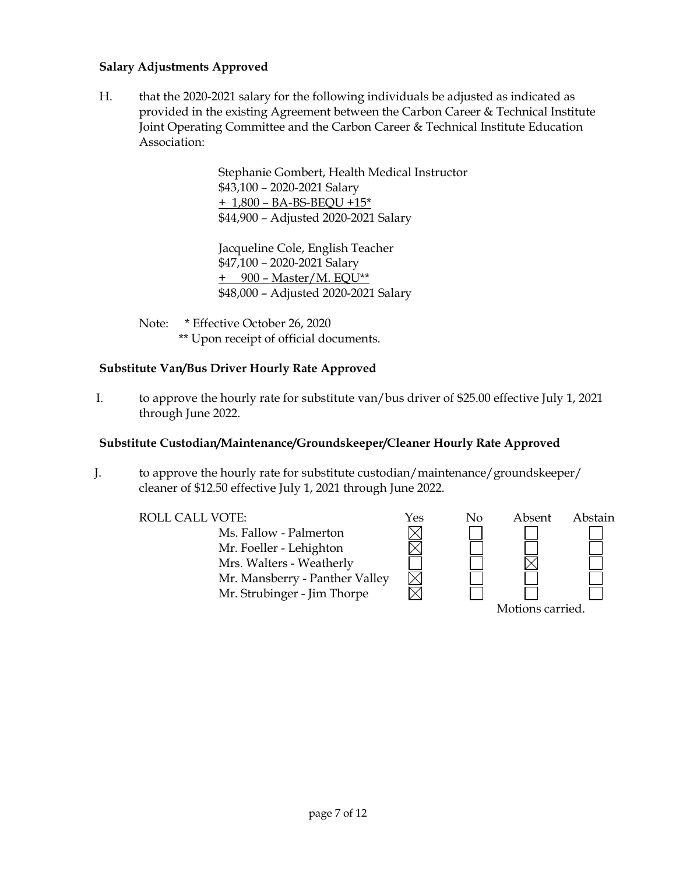# **Salary Adjustments Approved**

H. that the 2020-2021 salary for the following individuals be adjusted as indicated as provided in the existing Agreement between the Carbon Career & Technical Institute Joint Operating Committee and the Carbon Career & Technical Institute Education Association:

> Stephanie Gombert, Health Medical Instructor \$43,100 – 2020-2021 Salary + 1,800 – BA-BS-BEQU +15\* \$44,900 – Adjusted 2020-2021 Salary

Jacqueline Cole, English Teacher \$47,100 – 2020-2021 Salary + 900 – Master/M. EQU\*\* \$48,000 – Adjusted 2020-2021 Salary

Note: \* Effective October 26, 2020 \*\* Upon receipt of official documents.

# **Substitute Van/Bus Driver Hourly Rate Approved**

I. to approve the hourly rate for substitute van/bus driver of \$25.00 effective July 1, 2021 through June 2022.

# **Substitute Custodian/Maintenance/Groundskeeper/Cleaner Hourly Rate Approved**

J. to approve the hourly rate for substitute custodian/maintenance/groundskeeper/ cleaner of \$12.50 effective July 1, 2021 through June 2022.

> Ms. Fallow - Palmerton Mr. Foeller - Lehighton Mrs. Walters - Weatherly Mr. Mansberry - Panther Valley Mr. Strubinger - Jim Thorpe

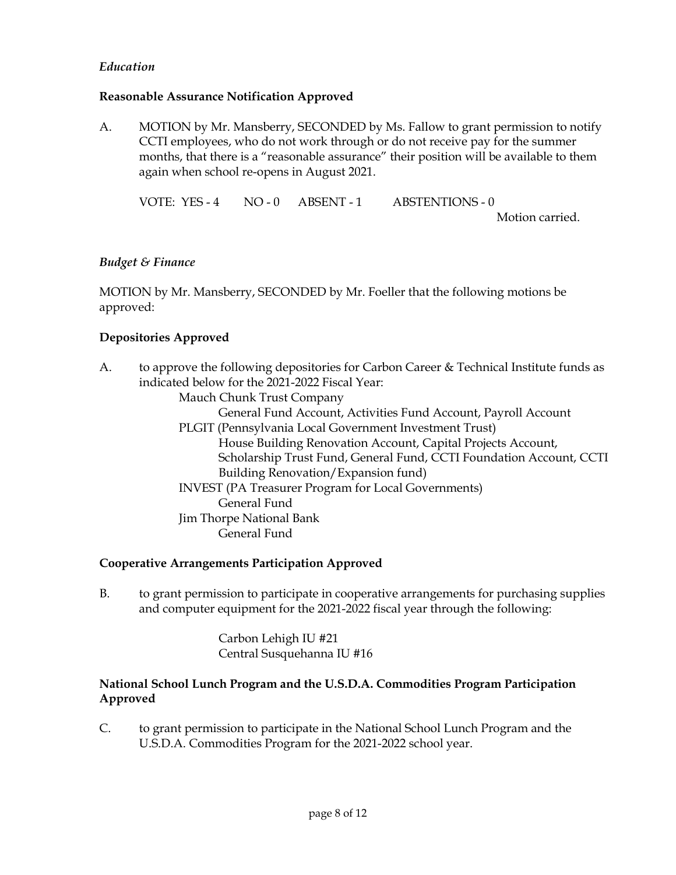# *Education*

# **Reasonable Assurance Notification Approved**

A. MOTION by Mr. Mansberry, SECONDED by Ms. Fallow to grant permission to notify CCTI employees, who do not work through or do not receive pay for the summer months, that there is a "reasonable assurance" their position will be available to them again when school re-opens in August 2021.

VOTE: YES - 4 NO - 0 ABSENT - 1 ABSTENTIONS - 0

Motion carried.

#### *Budget & Finance*

MOTION by Mr. Mansberry, SECONDED by Mr. Foeller that the following motions be approved:

# **Depositories Approved**

A. to approve the following depositories for Carbon Career & Technical Institute funds as indicated below for the 2021-2022 Fiscal Year:

Mauch Chunk Trust Company

General Fund Account, Activities Fund Account, Payroll Account

- PLGIT (Pennsylvania Local Government Investment Trust) House Building Renovation Account, Capital Projects Account, Scholarship Trust Fund, General Fund, CCTI Foundation Account, CCTI Building Renovation/Expansion fund)
- INVEST (PA Treasurer Program for Local Governments) General Fund Jim Thorpe National Bank General Fund

# **Cooperative Arrangements Participation Approved**

B. to grant permission to participate in cooperative arrangements for purchasing supplies and computer equipment for the 2021-2022 fiscal year through the following:

> Carbon Lehigh IU #21 Central Susquehanna IU #16

# **National School Lunch Program and the U.S.D.A. Commodities Program Participation Approved**

C. to grant permission to participate in the National School Lunch Program and the U.S.D.A. Commodities Program for the 2021-2022 school year.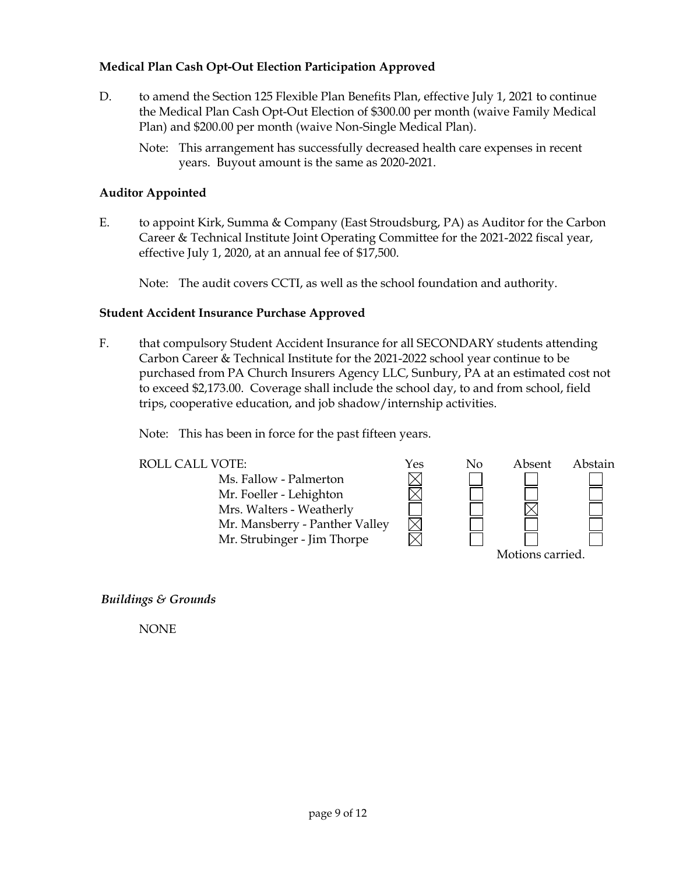# **Medical Plan Cash Opt-Out Election Participation Approved**

- D. to amend the Section 125 Flexible Plan Benefits Plan, effective July 1, 2021 to continue the Medical Plan Cash Opt-Out Election of \$300.00 per month (waive Family Medical Plan) and \$200.00 per month (waive Non-Single Medical Plan).
	- Note: This arrangement has successfully decreased health care expenses in recent years. Buyout amount is the same as 2020-2021.

# **Auditor Appointed**

E. to appoint Kirk, Summa & Company (East Stroudsburg, PA) as Auditor for the Carbon Career & Technical Institute Joint Operating Committee for the 2021-2022 fiscal year, effective July 1, 2020, at an annual fee of \$17,500.

Note: The audit covers CCTI, as well as the school foundation and authority.

#### **Student Accident Insurance Purchase Approved**

F. that compulsory Student Accident Insurance for all SECONDARY students attending Carbon Career & Technical Institute for the 2021-2022 school year continue to be purchased from PA Church Insurers Agency LLC, Sunbury, PA at an estimated cost not to exceed \$2,173.00. Coverage shall include the school day, to and from school, field trips, cooperative education, and job shadow/internship activities.

Note: This has been in force for the past fifteen years.

| <b>ROLL CALL VOTE:</b>         | Yes | No | Absent           | Abstain |  |
|--------------------------------|-----|----|------------------|---------|--|
| Ms. Fallow - Palmerton         |     |    |                  |         |  |
| Mr. Foeller - Lehighton        |     |    |                  |         |  |
| Mrs. Walters - Weatherly       |     |    |                  |         |  |
| Mr. Mansberry - Panther Valley |     |    |                  |         |  |
| Mr. Strubinger - Jim Thorpe    |     |    |                  |         |  |
|                                |     |    | Motions carried. |         |  |

*Buildings & Grounds*

NONE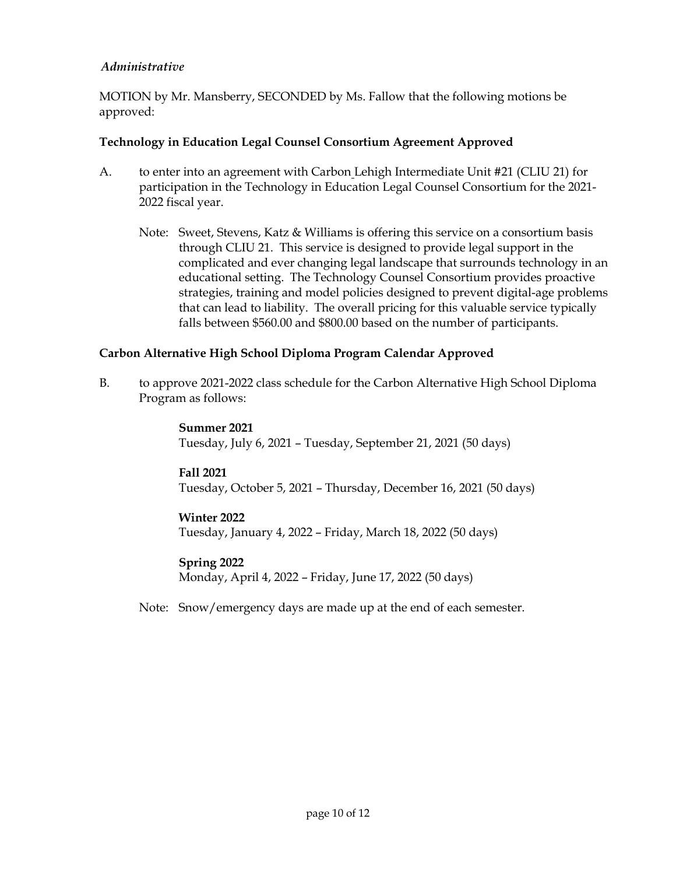# *Administrative*

MOTION by Mr. Mansberry, SECONDED by Ms. Fallow that the following motions be approved:

# **Technology in Education Legal Counsel Consortium Agreement Approved**

- A. to enter into an agreement with Carbon Lehigh Intermediate Unit #21 (CLIU 21) for participation in the Technology in Education Legal Counsel Consortium for the 2021- 2022 fiscal year.
	- Note: Sweet, Stevens, Katz & Williams is offering this service on a consortium basis through CLIU 21. This service is designed to provide legal support in the complicated and ever changing legal landscape that surrounds technology in an educational setting. The Technology Counsel Consortium provides proactive strategies, training and model policies designed to prevent digital-age problems that can lead to liability. The overall pricing for this valuable service typically falls between \$560.00 and \$800.00 based on the number of participants.

# **Carbon Alternative High School Diploma Program Calendar Approved**

B. to approve 2021-2022 class schedule for the Carbon Alternative High School Diploma Program as follows:

> **Summer 2021** Tuesday, July 6, 2021 – Tuesday, September 21, 2021 (50 days)

# **Fall 2021**

Tuesday, October 5, 2021 – Thursday, December 16, 2021 (50 days)

# **Winter 2022**

Tuesday, January 4, 2022 – Friday, March 18, 2022 (50 days)

# **Spring 2022**

Monday, April 4, 2022 – Friday, June 17, 2022 (50 days)

Note: Snow/emergency days are made up at the end of each semester.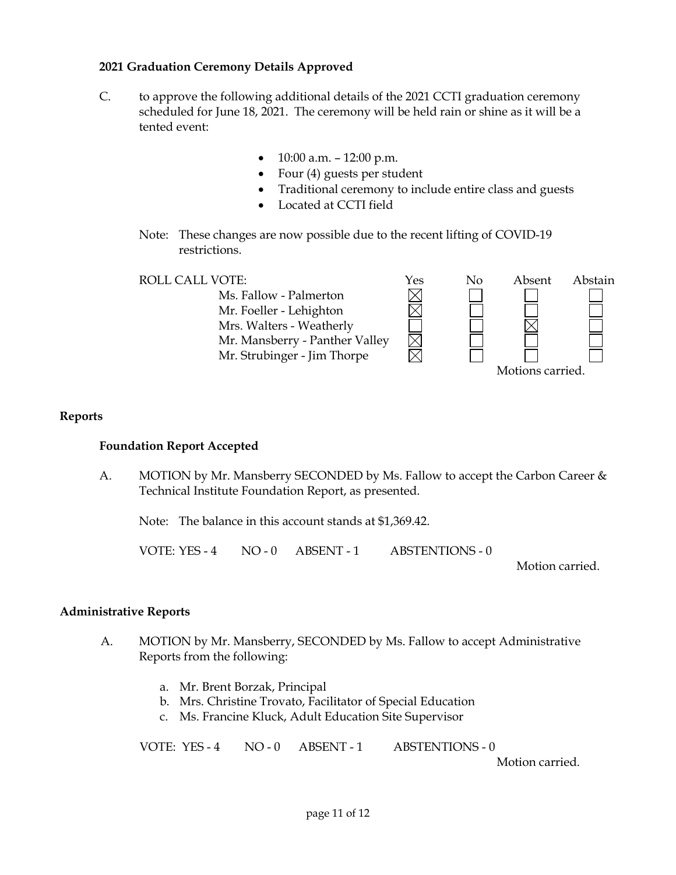# **2021 Graduation Ceremony Details Approved**

- C. to approve the following additional details of the 2021 CCTI graduation ceremony scheduled for June 18, 2021. The ceremony will be held rain or shine as it will be a tented event:
	- $10:00$  a.m.  $-12:00$  p.m.
	- Four (4) guests per student
	- Traditional ceremony to include entire class and guests

 $\boxtimes$ 

- Located at CCTI field
- Note: These changes are now possible due to the recent lifting of COVID-19 restrictions.

Ms. Fallow - Palmerton Mr. Foeller - Lehighton Mrs. Walters - Weatherly Mr. Mansberry - Panther Valley Mr. Strubinger - Jim Thorpe



# **Reports**

# **Foundation Report Accepted**

A. MOTION by Mr. Mansberry SECONDED by Ms. Fallow to accept the Carbon Career & Technical Institute Foundation Report, as presented.

Note: The balance in this account stands at \$1,369.42.

VOTE: YES - 4 NO - 0 ABSENT - 1 ABSTENTIONS - 0

Motion carried.

# **Administrative Reports**

- A. MOTION by Mr. Mansberry, SECONDED by Ms. Fallow to accept Administrative Reports from the following:
	- a. Mr. Brent Borzak, Principal
	- b. Mrs. Christine Trovato, Facilitator of Special Education
	- c. Ms. Francine Kluck, Adult Education Site Supervisor

VOTE: YES - 4 NO - 0 ABSENT - 1 ABSTENTIONS - 0

Motion carried.